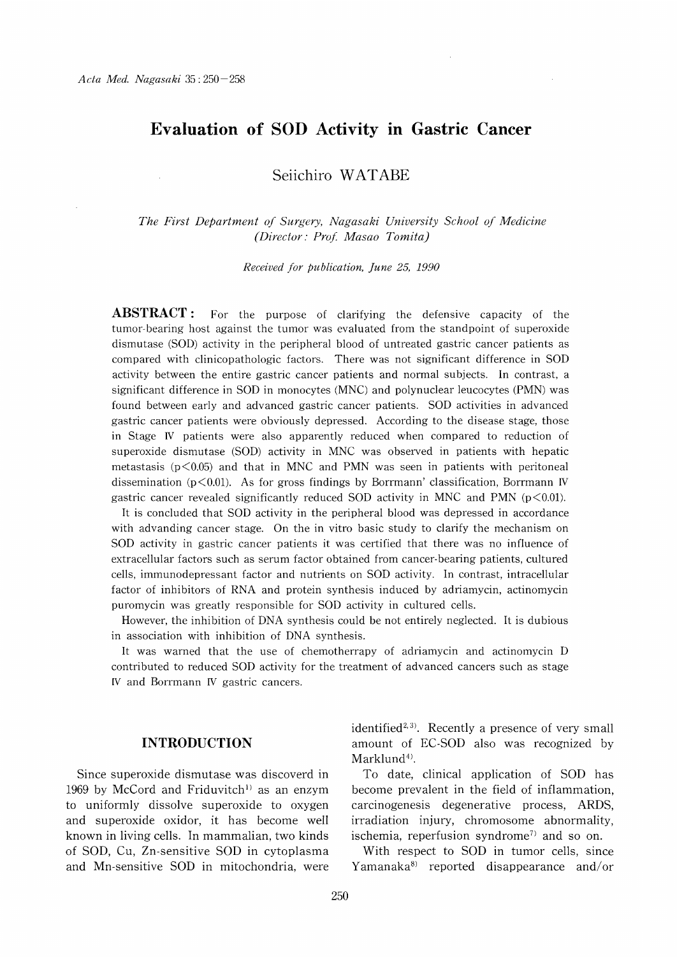# Evaluation of SOD Activity in Gastric Cancer

Seiichiro WATABE

The First Department of Surgery, Nagasaki University School of Medicine (Director: Prof. Masao Tomita)

Received for publication, June 25, 1990

**ABSTRACT:** For the purpose of clarifying the defensive capacity of the tumor-bearing host against the tumor was evaluated from the standpoint of superoxide dismutase (SOD) activity in the peripheral blood of untreated gastric cancer patients as compared with clinicopathologic factors. There was not significant difference in SOD activity between the entire gastric cancer patients and normal subjects. In contrast, a significant difference in SOD in monocytes (MNC) and polynuclear leucocytes (PMN) was found between early and advanced gastric cancer patients. SOD activities in advanced gastric cancer patients were obviously depressed. According to the disease stage, those in Stage IV patients were also apparently reduced when compared to reduction of superoxide dismutase (SOD) activity in MNC was observed in patients with hepatic metastasis ( $p \le 0.05$ ) and that in MNC and PMN was seen in patients with peritoneal dissemination ( $p < 0.01$ ). As for gross findings by Borrmann' classification, Borrmann IV gastric cancer revealed significantly reduced SOD activity in MNC and PMN ( $p<0.01$ ).

It is concluded that SOD activity in the peripheral blood was depressed in accordance with advanding cancer stage. On the in vitro basic study to clarify the mechanism on SOD activity in gastric cancer patients it was certified that there was no influence of extracellular factors such as serum factor obtained from cancer-bearing patients, cultured cells, immunodepressant factor and nutrients on SOD activity. In contrast, intracellular factor of inhibitors of RNA and protein synthesis induced by adriamycin, actinomycin puromycin was greatly responsible for SOD activity in cultured cells.

However, the inhibition of DNA synthesis could be not entirely neglected. It is dubious in association with inhibition of DNA synthesis.

It was warned that the use of chemotherrapy of adriamycin and actinomycin D contributed to reduced SOD activity for the treatment of advanced cancers such as stage IV and Borrmann IV gastric cancers.

#### INTRODUCTION

Since superoxide dismutase was discoverd in 1969 by McCord and Friduvitch<sup>1)</sup> as an enzym to uniformly dissolve superoxide to oxygen and superoxide oxidor, it has become well known in living cells. In mammalian, two kinds of SOD, Cu, Zn-sensitive SOD in cytoplasma and Mn-sensitive SOD in mitochondria, were identified<sup>2,3)</sup>. Recently a presence of very small amount of EC-SOD also was recognized by  $Marklund<sup>4</sup>$ .

To date, clinical application of SOD has become prevalent in the field of inflammation, carcinogenesis degenerative process, ARDS, irradiation injury, chromosome abnormality, ischemia, reperfusion syndrome') and so on.

With respect to SOD in tumor cells, since Yamanaka') reported disappearance and/or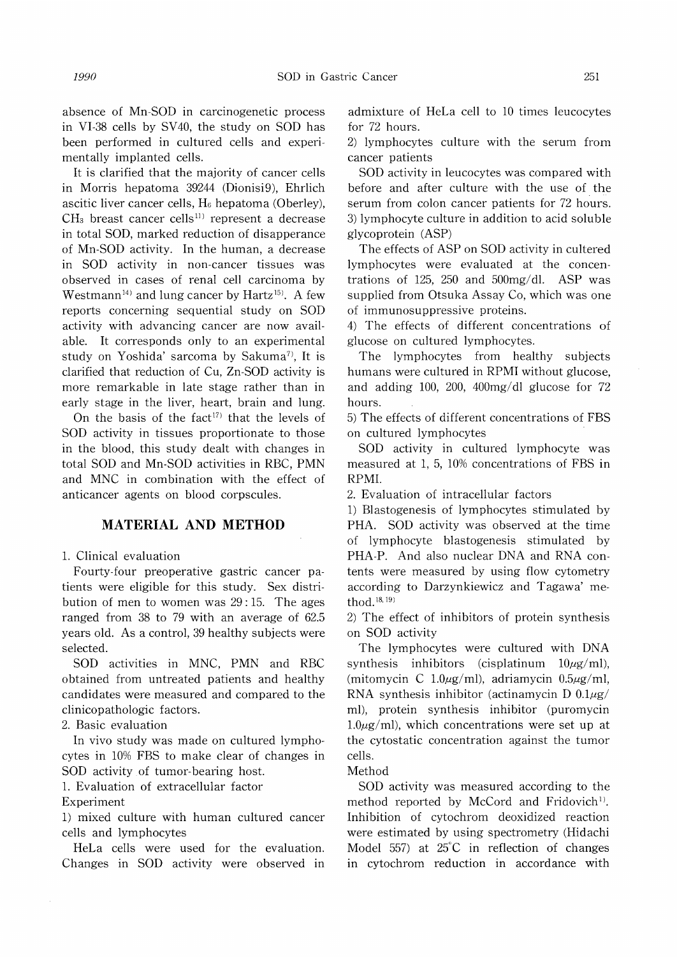absence of Mn-SOD in carcinogenetic process in VI-38 cells by SV40, the study on SOD has been performed in cultured cells and experimentally implanted cells.

It is clarified that the majority of cancer cells in Morris hepatoma 39244 (Dionisi9), Ehrlich ascitic liver cancer cells,  $H_6$  hepatoma (Oberley),  $CH<sub>3</sub>$  breast cancer cells<sup>11)</sup> represent a decrease in total SOD, marked reduction of disapperance of Mn-SOD activity. In the human, a decrease in SOD activity in non-cancer tissues was observed in cases of renal cell carcinoma by Westmann<sup>14)</sup> and lung cancer by Hartz<sup>15)</sup>. A few reports concerning sequential study on SOD activity with advancing cancer are now available. It corresponds only to an experimental study on Yoshida' sarcoma by Sakuma'), It is clarified that reduction of Cu, Zn-SOD activity is more remarkable in late stage rather than in early stage in the liver, heart, brain and lung.

On the basis of the fact<sup>17)</sup> that the levels of SOD activity in tissues proportionate to those in the blood, this study dealt with changes in total SOD and Mn-SOD activities in RBC, PMN and MNC in combination with the effect of anticancer agents on blood corpscules.

## MATERIAL AND METHOD

1. Clinical evaluation

Fourty-four preoperative gastric cancer patients were eligible for this study. Sex distribution of men to women was 29:15. The ages ranged from 38 to 79 with an average of 62.5 years old. As a control, 39 healthy subjects were selected.

SOD activities in MNC, PMN and RBC obtained from untreated patients and healthy candidates were measured and compared to the clinicopathologic factors.

2. Basic evaluation

In vivo study was made on cultured lymphocytes in 10% FBS to make clear of changes in SOD activity of tumor-bearing host.

1. Evaluation of extracellular factor

Experiment

1) mixed culture with human cultured cancer cells and lymphocytes

HeLa cells were used for the evaluation. Changes in SOD activity were observed in admixture of HeLa cell to 10 times leucocytes for 72 hours.

2) lymphocytes culture with the serum from cancer patients

SOD activity in leucocytes was compared with before and after culture with the use of the serum from colon cancer patients for 72 hours. 3) lymphocyte culture in addition to acid soluble glycoprotein (ASP)

The effects of ASP on SOD activity in cultered lymphocytes were evaluated at the concentrations of 125, 250 and 500mg/dl. ASP was supplied from Otsuka Assay Co, which was one of immunosuppressive proteins.

4) The effects of different concentrations of glucose on cultured lymphocytes.

The lymphocytes from healthy subjects humans were cultured in RPMI without glucose, and adding 100, 200, 400mg/dl glucose for 72 hours.

5) The effects of different concentrations of FBS on cultured lymphocytes

SOD activity in cultured lymphocyte was measured at 1, 5, 10% concentrations of FBS in RPMI.

2. Evaluation of intracellular factors

1) Blastogenesis of lymphocytes stimulated by PHA. SOD activity was observed at the time of lymphocyte blastogenesis stimulated by PHA-P. And also nuclear DNA and RNA contents were measured by using flow cytometry according to Darzynkiewicz and Tagawa' method.  $^{18,\,19)}$ 

2) The effect of inhibitors of protein synthesis on SOD activity

The lymphocytes were cultured with DNA synthesis inhibitors (cisplatinum  $10\mu g/ml$ ), (mitomycin C 1.0 $\mu$ g/ml), adriamycin 0.5 $\mu$ g/ml, RNA synthesis inhibitor (actinamycin D  $0.1\mu$ g/ ml), protein synthesis inhibitor (puromycin  $1.0\mu$ g/ml), which concentrations were set up at the cytostatic concentration against the tumor cells.

Method

SOD activity was measured according to the method reported by McCord and Fridovich<sup>1)</sup>. Inhibition of cytochrom deoxidized reaction were estimated by using spectrometry (Hidachi Model 557) at  $25^{\circ}$ C in reflection of changes in cytochrom reduction in accordance with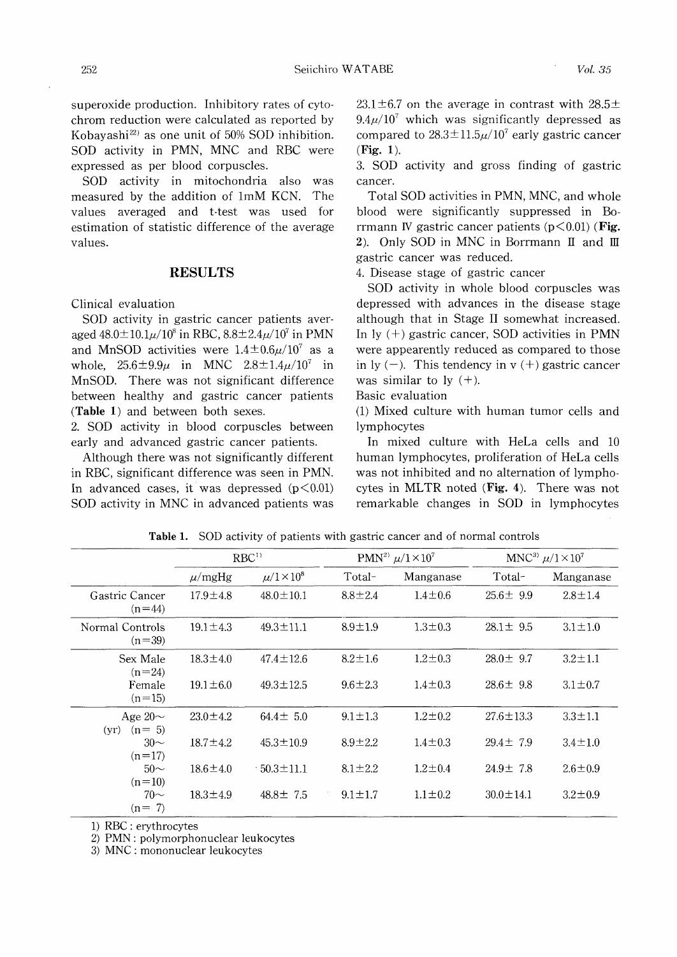superoxide production. Inhibitory rates of cytochrom reduction were calculated as reported by Kobayashi $^{22}$  as one unit of 50% SOD inhibition. SOD activity in PMN, MNC and RBC were expressed as per blood corpuscles.

SOD activity in mitochondria also was measured by the addition of 1mM KCN. The values averaged and t-test was used for estimation of statistic difference of the average values.

#### RESULTS

Clinical evaluation

SOD activity in gastric cancer patients averaged  $48.0 \pm 10.1 \mu / 10^8$  in RBC,  $8.8 \pm 2.4 \mu / 10^7$  in PMN and MnSOD activities were  $1.4 \pm 0.6 \mu/10^7$  as a whole,  $25.6 \pm 9.9\mu$  in MNC  $2.8 \pm 1.4\mu/10^7$  in MnSOD. There was not significant difference between healthy and gastric cancer patients (Table 1) and between both sexes.

2. SOD activity in blood corpuscles between early and advanced gastric cancer patients.

Although there was not significantly different in RBC, significant difference was seen in PMN. In advanced cases, it was depressed  $(p<0.01)$ SOD activity in MNC in advanced patients was  $23.1 \pm 6.7$  on the average in contrast with  $28.5 \pm$  $9.4\mu/10^7$  which was significantly depressed as compared to  $28.3 \pm 11.5 \mu/10^7$  early gastric cancer (Fig. 1).

3. SOD activity and gross finding of gastric cancer.

Total SOD activities in PMN, MNC, and whole blood were significantly suppressed in Borrmann IV gastric cancer patients  $(p<0.01)$  (Fig. 2). Only SOD in MNC in Borrmann II and III gastric cancer was reduced.

4. Disease stage of gastric cancer

SOD activity in whole blood corpuscles was depressed with advances in the disease stage although that in Stage II somewhat increased. In  $ly$   $(+)$  gastric cancer, SOD activities in PMN were appearently reduced as compared to those in ly  $(-)$ . This tendency in v  $(+)$  gastric cancer was similar to ly  $(+)$ .

Basic evaluation

(1) Mixed culture with human tumor cells and lymphocytes

In mixed culture with HeLa cells and 10 human lymphocytes, proliferation of HeLa cells was not inhibited and no alternation of lymphocytes in MLTR noted (Fig. 4). There was not remarkable changes in SOD in lymphocytes

|                                 | RBC <sup>1</sup> |                     | PMN <sup>2)</sup> $\mu/1 \times 10^7$ |               | MNC <sup>3)</sup> $\mu$ /1×10 <sup>7</sup> |               |
|---------------------------------|------------------|---------------------|---------------------------------------|---------------|--------------------------------------------|---------------|
|                                 | $\mu$ /mgHg      | $\mu/1 \times 10^8$ | Total-                                | Manganase     | Total-                                     | Manganase     |
| Gastric Cancer<br>$(n=44)$      | $17.9 \pm 4.8$   | $48.0 \pm 10.1$     | $8.8 \pm 2.4$                         | $1.4 \pm 0.6$ | $25.6 \pm 9.9$                             | $2.8 \pm 1.4$ |
| Normal Controls<br>$(n=39)$     | $19.1 \pm 4.3$   | $49.3 \pm 11.1$     | $8.9 \pm 1.9$                         | $1.3 \pm 0.3$ | $28.1 \pm 9.5$                             | $3.1 \pm 1.0$ |
| Sex Male<br>$(n=24)$            | $18.3 \pm 4.0$   | $47.4 \pm 12.6$     | $8.2 \pm 1.6$                         | $1.2 \pm 0.3$ | $28.0 \pm 9.7$                             | $3.2 \pm 1.1$ |
| Female<br>$(n=15)$              | $19.1 \pm 6.0$   | $49.3 \pm 12.5$     | $9.6 \pm 2.3$                         | $1.4 \pm 0.3$ | $28.6 \pm 9.8$                             | $3.1 \pm 0.7$ |
| Age $20\sim$<br>$(n=5)$<br>(vr) | $23.0 \pm 4.2$   | $64.4 \pm 5.0$      | $9.1 \pm 1.3$                         | $1.2 \pm 0.2$ | $27.6 \pm 13.3$                            | $3.3 \pm 1.1$ |
| $30-$<br>$(n=17)$               | $18.7 \pm 4.2$   | $45.3 \pm 10.9$     | $8.9 \pm 2.2$                         | $1.4 \pm 0.3$ | $29.4 \pm 7.9$                             | $3.4 \pm 1.0$ |
| $50-$<br>$(n=10)$               | $18.6 \pm 4.0$   | $-50.3 \pm 11.1$    | $8.1 \pm 2.2$                         | $1.2 \pm 0.4$ | $24.9 \pm 7.8$                             | $2.6 \pm 0.9$ |
| $70-$<br>$(n = 7)$              | $18.3 \pm 4.9$   | $48.8 \pm 7.5$      | $9.1 \pm 1.7$                         | $1.1 \pm 0.2$ | $30.0 \pm 14.1$                            | $3.2 \pm 0.9$ |

Table 1. SOD activity of patients with gastric cancer and of normal controls

1) RBC : erythrocytes

2) PMN : polymorphonuclear leukocytes

3) MNC : mononuclear leukocytes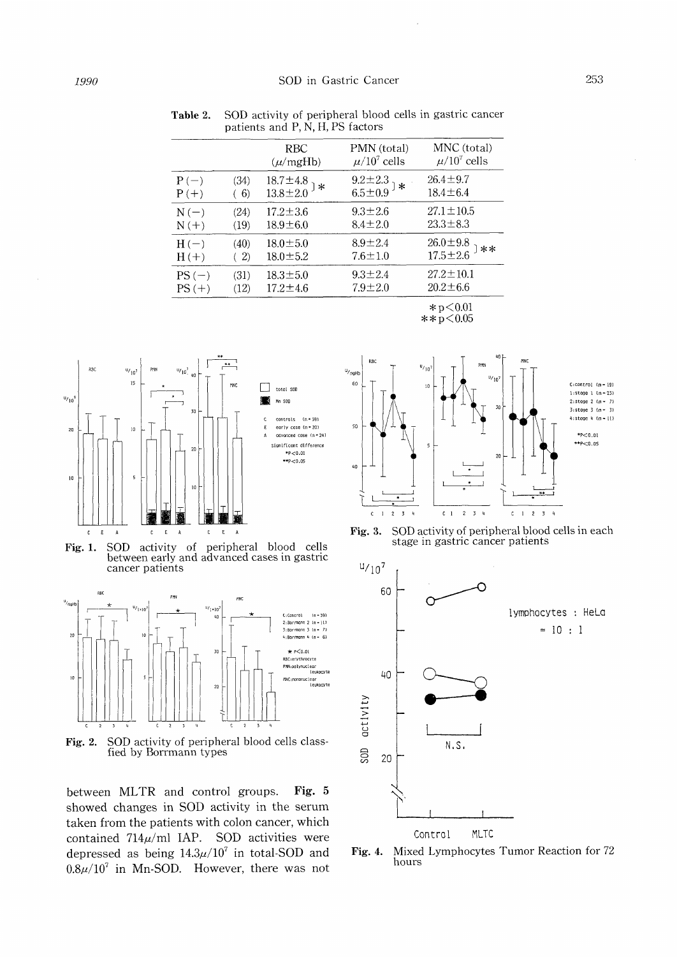|         |      | RBC<br>$(\mu/mgHb)$                     | PMN (total)<br>$\mu/10^7$ cells | MNC (total)<br>$\mu/10^7$ cells  |
|---------|------|-----------------------------------------|---------------------------------|----------------------------------|
| $P(-)$  | (34) | $^{18.7\pm 4.8}_{13.8\pm 2.0}$ ) $\ast$ | $9.2 \pm 2.3$<br>6.5±0.9        | $26.4 \pm 9.7$                   |
| $P(+)$  | (6)  |                                         | .∗                              | $18.4 \pm 6.4$                   |
| $N(-)$  | (24) | $17.2 \pm 3.6$                          | $9.3 \pm 2.6$                   | $27.1 \pm 10.5$                  |
| $N(+)$  | (19) | $18.9 \pm 6.0$                          | $8.4 \pm 2.0$                   | $23.3 \pm 8.3$                   |
| $H(-)$  | (40) | $18.0 \pm 5.0$                          | $8.9 + 2.4$                     | $26.0 \pm 9.8$<br>17.5 $\pm 2.6$ |
| $H(+)$  | (2)  | $18.0 \pm 5.2$                          | $7.6 \pm 1.0$                   | **                               |
| $PS(-)$ | (31) | $18.3 \pm 5.0$                          | $9.3 \pm 2.4$                   | $27.2 \pm 10.1$                  |
| $PS(+)$ | (12) | $17.2 \pm 4.6$                          | $7.9 \pm 2.0$                   | $20.2 \pm 6.6$                   |
|         |      |                                         |                                 | こっ / ∩ ∩1                        |

Table 2. SOD activity of peripheral blood cells in gastric cancer patients and P, N, H, PS factors

 $*p<0.01$  $* * p < 0.05$ 



Fig. 1. SOD activity of peripheral blood cells between early and advanced cases in gastric cancer patients



Fig. 2. SOD activity of peripheral blood cells classfied by Borrmann types

between MLTR and control groups. Fig. 5 showed changes in SOD activity in the serum taken from the patients with colon cancer, which contained  $714\mu$ /ml IAP. SOD activities were depressed as being  $14.3\mu/10^7$  in total-SOD and  $0.8\mu/10^7$  in Mn-SOD. However, there was not



Fig. 3. SOD activity of peripheral blood cells in each stage in gastric cancer patients



Fig. 4. Mixed Lymphocytes Tumor Reaction for 72 hours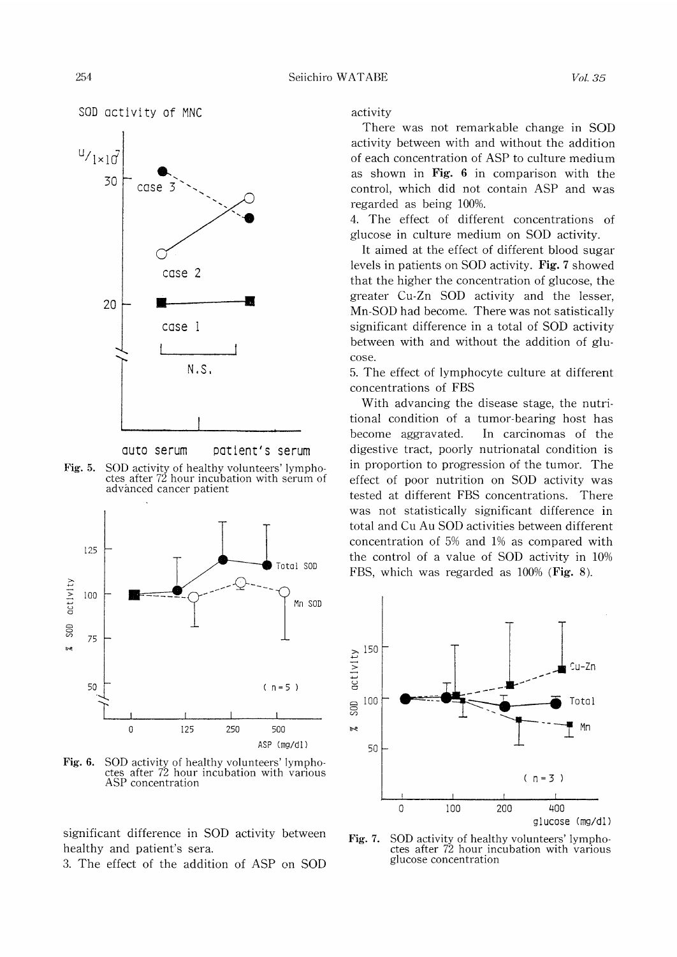



quto serum patient's serum

Fig. 5. SOD activity of healthy volunteers' lymph ctes after 72 hour incubation with serum of advanced cancer patient



Fig. 6. SOD activity of healthy volunteers' lymphoctes after 72 hour incubation with various ASP concentration

significant difference in SOD activity between healthy and patient's sera.

3. The effect of the addition of ASP on SOD

activity

There was not remarkable change in SOD activity between with and without the addition of each concentration of ASP to culture medium as shown in Fig. 6 in comparison with the control, which did not contain ASP and was regarded as being 100%.

4. The effect of different concentrations of glucose in culture medium on SOD activity.

It aimed at the effect of different blood sugar levels in patients on SOD activity. Fig. 7 showed that the higher the concentration of glucose, the greater Cu-Zn SOD activity and the lesser, Mn-SOD had become. There was not satistically significant difference in a total of SOD activity between with and without the addition of glucose.

5. The effect of lymphocyte culture at different concentrations of FBS

With advancing the disease stage, the nutritional condition of a tumor-bearing host has become aggravated. In carcinomas of the digestive tract, poorly nutrionatal condition is in proportion to progression of the tumor. The effect of poor nutrition on SOD activity was tested at different FBS concentrations. There was not statistically significant difference in total and Cu Au SOD activities between different concentration of 5% and 1% as compared with the control of a value of SOD activity in 10% FBS, which was regarded as 100% (Fig. 8).



Fig. 7. SOD activity of healthy volunteers' lymph ctes after 72 hour incubation with variou glucose concentration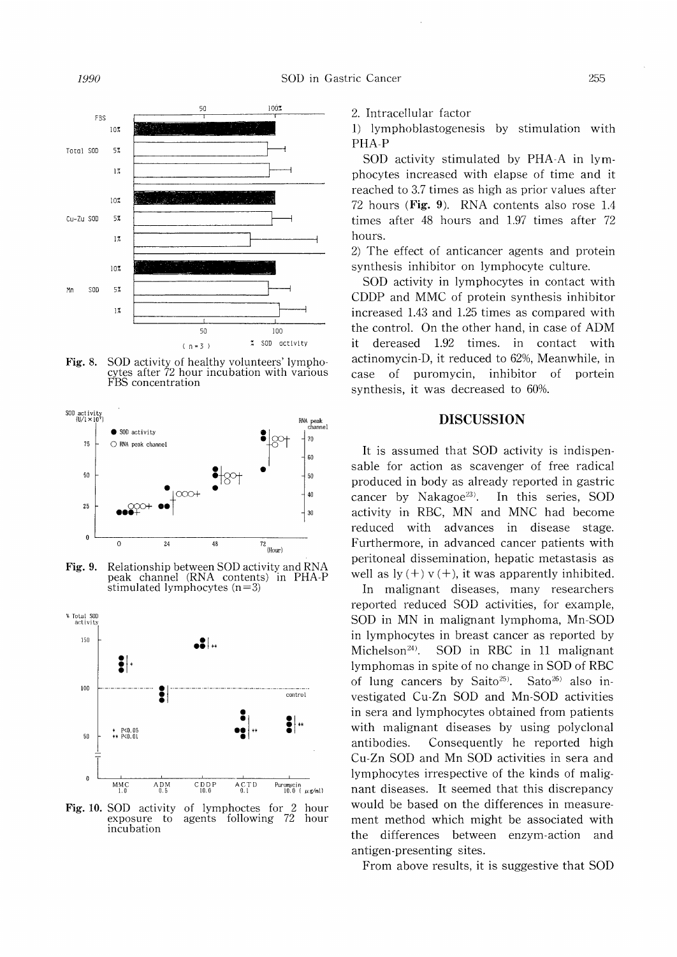255



Fig. 8. SOD activity of healthy volunteers' lymphocytes after 72 hour incubation with various FBS concentration



Fig. 9. Relationship between SOD activity and RNA peak channel (RNA contents) in PHA-P stimulated lymphocytes  $(n=3)$ 



Fig. 10. SOD activity of lymphoctes for 2 hour exposure to agents following 72 hour exposure to agents following 72 hour incubation

2. Intracellular factor

1) lymphoblastogenesis by stimulation with PHA-P

SOD activity stimulated by PHA-A in lymphocytes increased with elapse of time and it reached to 3.7 times as high as prior values after 72 hours (Fig. 9). RNA contents also rose 1.4 times after 48 hours and 1.97 times after 72 hours.

2) The effect of anticancer agents and protein synthesis inhibitor on lymphocyte culture.

SOD activity in lymphocytes in contact with CDDP and MMC of protein synthesis inhibitor increased 1.43 and 1.25 times as compared with the control. On the other hand, in case of ADM it dereased 1.92 times. in contact with actinomycin-D, it reduced to 62%, Meanwhile, in case of puromycin, inhibitor of portein synthesis, it was decreased to 60%.

### DISCUSSION

It is assumed that SOD activity is indispensable for action as scavenger of free radical produced in body as already reported in gastric cancer by Nakagoe<sup>23)</sup>. In this series, SOD activity in RBC, MN and MNC had become reduced with advances in disease stage. Furthermore, in advanced cancer patients with peritoneal dissemination, hepatic metastasis as well as  $\ln(y + y + t)$ , it was apparently inhibited.

In malignant diseases, many researchers reported reduced SOD activities, for example, SOD in MN in malignant lymphoma, Mn-SOD in lymphocytes in breast cancer as reported by Michelson<sup>24)</sup>. SOD in RBC in 11 malignant lymphomas in spite of no change in SOD of RBC of lung cancers by Saito<sup>25</sup>. Sato<sup>26</sup> also investigated Cu-Zn SOD and Mn-SOD activities in sera and lymphocytes obtained from patients with malignant diseases by using polyclonal antibodies. Consequently he reported high Cu-Zn SOD and Mn SOD activities in sera and lymphocytes irrespective of the kinds of malignant diseases. It seemed that this discrepancy would be based on the differences in measurement method which might be associated with the differences between enzym-action and antigen-presenting sites.

From above results, it is suggestive that SOD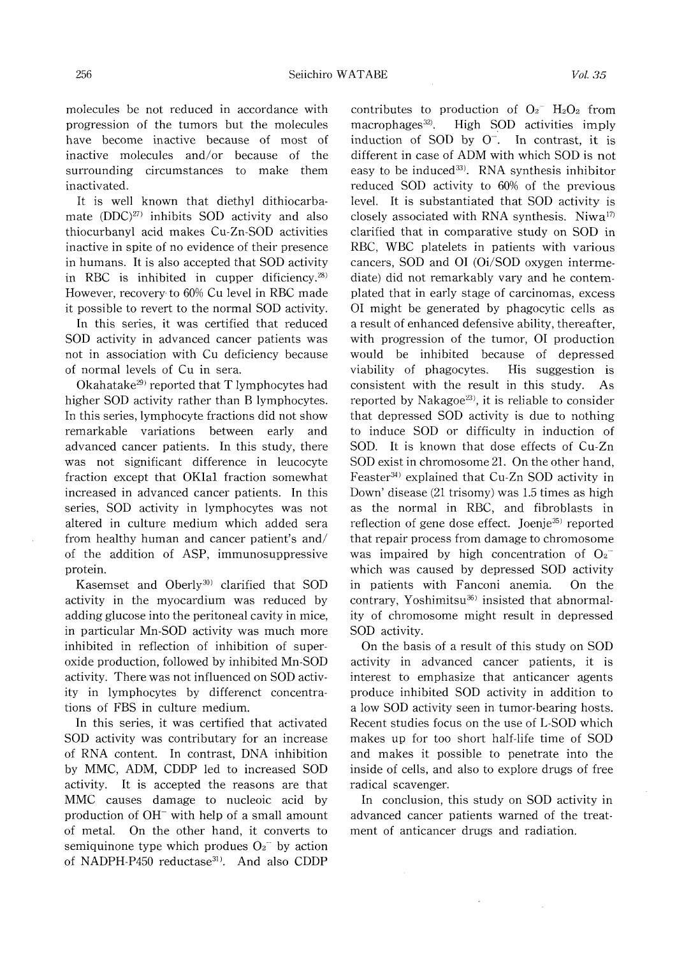molecules be not reduced in accordance with progression of the tumors but the molecules have become inactive because of most of inactive molecules and/or because of the surrounding circumstances to make them inactivated.

It is well known that diethyl dithiocarbamate  $(DDC)^{27}$  inhibits SOD activity and also thiocurbanyl acid makes Cu-Zn-SOD activities inactive in spite of no evidence of their presence in humans. It is also accepted that SOD activity in RBC is inhibited in cupper dificiency. $28$ ) However, recovery to 60% Cu level in RBC made it possible to revert to the normal SOD activity.

In this series, it was certified that reduced SOD activity in advanced cancer patients was not in association with Cu deficiency because of normal levels of Cu in sera.

Okahatake<sup>29</sup> reported that T lymphocytes had higher SOD activity rather than B lymphocytes. In this series, lymphocyte fractions did not show remarkable variations between early and advanced cancer patients. In this study, there was not significant difference in leucocyte fraction except that OKIal fraction somewhat increased in advanced cancer patients. In this series, SOD activity in lymphocytes was not altered in culture medium which added sera from healthy human and cancer patient's and/ of the addition of ASP, immunosuppressive protein.

Kasemset and Oberly<sup>30)</sup> clarified that SOD activity in the myocardium was reduced by adding glucose into the peritoneal cavity in mice, in particular Mn-SOD activity was much more inhibited in reflection of inhibition of superoxide production, followed by inhibited Mn-SOD activity. There was not influenced on SOD activity in lymphocytes by differenct concentrations of FBS in culture medium.

In this series, it was certified that activated SOD activity was contributary for an increase of RNA content. In contrast, DNA inhibition by MMC, ADM, CDDP led to increased SOD activity. It is accepted the reasons are that MMC causes damage to nucleoic acid by production of OH<sup>-</sup> with help of a small amount of metal. On the other hand, it converts to semiquinone type which produes  $O_2$ <sup>-</sup> by action of NADPH-P450 reductase<sup>31)</sup>. And also CDDP

contributes to production of  $O_2$ <sup>-</sup> H<sub>2</sub>O<sub>2</sub> from macrophages<sup>32)</sup>. High SOD activities imply induction of SOD by  $O^-$ . In contrast, it is different in case of ADM with which SOD is not easy to be induced<sup>33)</sup>. RNA synthesis inhibitor reduced SOD activity to 60% of the previous level. It is substantiated that SOD activity is closely associated with RNA synthesis. Niwa<sup>17)</sup> clarified that in comparative study on SOD in RBC, WBC platelets in patients with various cancers, SOD and 01 (Oi/SOD oxygen intermediate) did not remarkably vary and he contemplated that in early stage of carcinomas, excess 01 might be generated by phagocytic cells as a result of enhanced defensive ability, thereafter, with progression of the tumor, 01 production would be inhibited because of depressed viability of phagocytes. His suggestion is consistent with the result in this study. As reported by Nakagoe $^{23}$ , it is reliable to consider that depressed SOD activity is due to nothing to induce SOD or difficulty in induction of SOD. It is known that dose effects of Cu-Zn SOD exist in chromosome 21. On the other hand, Feaster<sup>34)</sup> explained that Cu-Zn SOD activity in Down' disease (21 trisomy) was 1.5 times as high as the normal in RBC, and fibroblasts in reflection of gene dose effect. Joenje<sup>35)</sup> reported that repair process from damage to chromosome was impaired by high concentration of  $O_2^$ which was caused by depressed SOD activity in patients with Fanconi anemia. On the contrary, Yoshimitsu<sup>36)</sup> insisted that abnormality of chromosome might result in depressed SOD activity.

On the basis of a result of this study on SOD activity in advanced cancer patients, it is interest to emphasize that anticancer agents produce inhibited SOD activity in addition to a low SOD activity seen in tumor-bearing hosts. Recent studies focus on the use of L-SOD which makes up for too short half-life time of SOD and makes it possible to penetrate into the inside of cells, and also to explore drugs of free radical scavenger.

In conclusion, this study on SOD activity in advanced cancer patients warned of the treatment of anticancer drugs and radiation.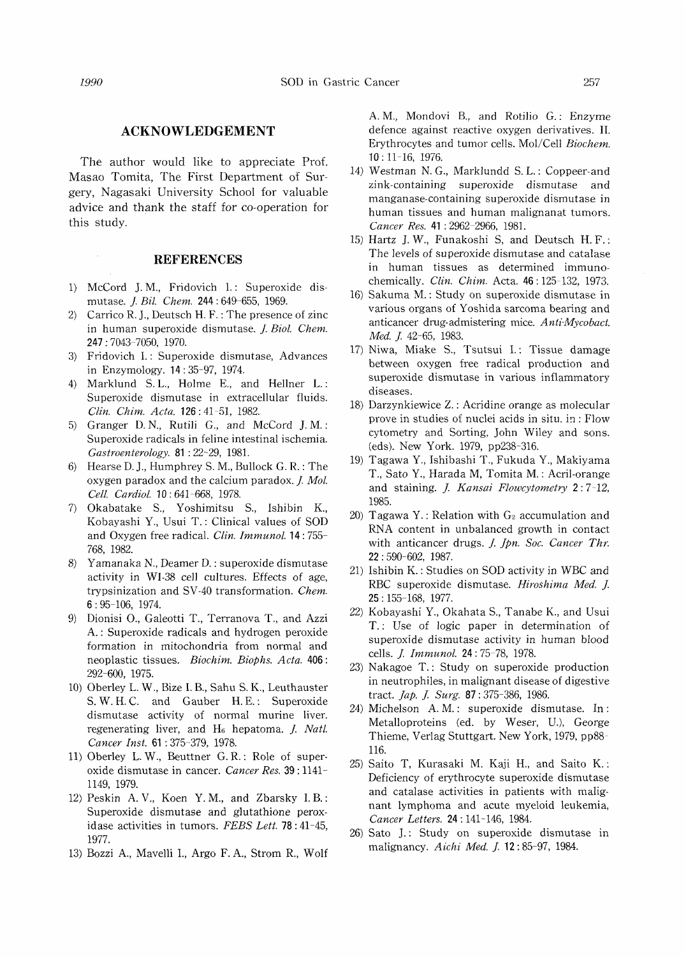### ACKNOWLEDGEMENT

The author would like to appreciate Prof. Masao Tomita, The First Department of Surgery, Nagasaki University School for valuable advice and thank the staff for co-operation for this study.

#### **REFERENCES**

- 1) McCord J. M., Fridovich I.: Superoxide dismutase. J. Bil. Chem. 244: 649-655, 1969.
- 2) Carrico R. J., Deutsch H. F. : The presence of zinc in human superoxide dismutase. J. Biol. Chem. 247:7043-7050, 1970.
- 3) Fridovich I.: Superoxide dismutase, Advances in Enzymology. 14: 35-97, 1974.
- 4) Marklund S. L., Holme E., and Hellner L.: Superoxide dismutase in extracellular fluids. Clin. Chim. Acta. 126:41-51, 1982.
- 5) Granger D. N., Rutili G., and McCord J. M.: Superoxide radicals in feline intestinal ischemia. Gastroenterology. 81 : 22-29, 1981.
- 6) Hearse D. J., Humphrey S. M., Bullock G. R.: The oxygen paradox and the calcium paradox. J. Mol. Cell. Cardiol. 10: 641-668, 1978.
- 7) Okabatake S., Yoshimitsu S., Ishibin K., Kobayashi Y., Usui T.: Clinical values of SOD and Oxygen free radical. Clin. Immunol. 14: 755- 768, 1982.
- 8) Yamanaka N., Deamer D.: superoxide dismutase activity in WI-38 cell cultures. Effects of age, trypsinization and SV-40 transformation. Chem. 6:95-106, 1974.
- 9) Dionisi 0., Galeotti T., Terranova T., and Azzi A.: Superoxide radicals and hydrogen peroxide formation in mitochondria from normal and neoplastic tissues. Biochim. Biophs. Acta. 406: 292-600, 1975.
- 10) Oberley L. W., Bize I. B., Sahu S. K., Leuthauster S. W. H. C. and Gauber H. E.: Superoxide dismutase activity of normal murine liver. regenerating liver, and  $H_6$  hepatoma. *J. Natl.* Cancer Inst. 61 : 375-379, 1978.
- 11) Oberley L. W., Beuttner G. R.: Role of superoxide dismutase in cancer. Cancer Res. 39: 1141- 1149, 1979.
- 12) Peskin A. V., Koen Y. M., and Zbarsky I. B.: Superoxide dismutase and glutathione peroxidase activities in tumors. FEBS Lett. 78:41-45, 1977.
- 13) Bozzi A., Mavelli I., Argo F. A., Strom R., Wolf

 A. M., Mondovi B., and Rotilio G.: Enzyme defence against reactive oxygen derivatives. II. Erythrocytes and tumor cells. Mol/Cell Biochem. 10:11-16, 1976.

- 14) Westman N. G., Marklundd S. L.: Coppeer-and zink-containing superoxide dismutase and manganase-containing superoxide dismutase in human tissues and human malignanat tumors. Cancer Res. 41 :2962-2966, 1981.
- 15) Hartz J. W., Funakoshi S, and Deutsch H. F.: The levels of superoxide dismutase and catalase in human tissues as determined immunochemically. Clin. Chim. Acta. 46:125-132, 1973.
- 16) Sakuma M.: Study on superoxide dismutase in various organs of Yoshida sarcoma bearing and anticancer drug- admistering mice. Anti-Mycobact. Med. J. 42-65, 1983.
- 17) Niwa, Miake S., Tsutsui I.: Tissue damage between oxygen free radical production and superoxide dismutase in various inflammatory diseases.
- 18) Darzynkiewice Z.: Acridine orange as molecular prove in studies of nuclei acids in situ. in: Flow cytometry and Sorting, John Wiley and sons. (eds). New York. 1979, pp238-316.
- 19) Tagawa Y., Ishibashi T., Fukuda Y., Makiyama T., Sato Y., Harada M, Tomita M.: Acril-orange and staining. J. Kansai Flowcytometry 2:7-12, 1985.
- 20) Tagawa Y.: Relation with  $G_2$  accumulation and RNA content in unbalanced growth in contact with anticancer drugs. J. Jpn. Soc. Cancer Thr. 22:590-602, 1987.
- 21) Ishibin K.: Studies on SOD activity in WBC and RBC superoxide dismutase. Hiroshima Med. J. 25:155-168, 1977.
- 22) Kobayashi Y., Okahata S., Tanabe K., and Usui T.: Use of logic paper in determination of superoxide dismutase activity in human blood cells. J. Immunol. 24: 75-78, 1978.
- 23) Nakagoe T.: Study on superoxide production in neutrophiles, in malignant disease of digestive tract. Jap. J. Surg. 87:375-386, 1986.
- 24) Michelson A. M.: superoxide dismutase. In : Metalloproteins (ed. by Weser, U.), George Thieme, Verlag Stuttgart. New York, 1979, pp88- 116.
- 25) Saito T, Kurasaki M. Kaji H., and Saito K.: Deficiency of erythrocyte superoxide dismutase and catalase activities in patients with malignant lymphoma and acute myeloid leukemia, Cancer Letters. 24 : 141-146, 1984.
- 26) Sato J.: Study on superoxide dismutase in malignancy. Aichi Med. J. 12:85-97, 1984.